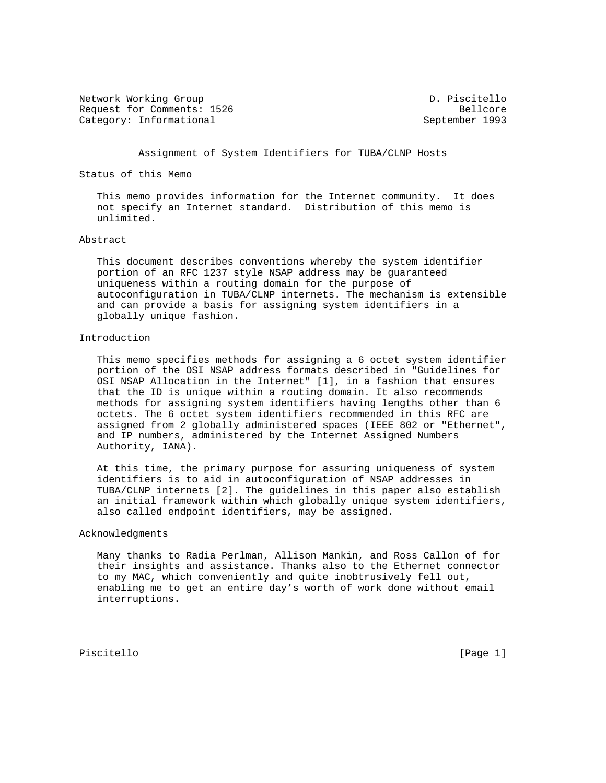Network Working Group and Communications of the D. Piscitello Request for Comments: 1526 Bellcore Category: Informational September 1993

Assignment of System Identifiers for TUBA/CLNP Hosts

Status of this Memo

 This memo provides information for the Internet community. It does not specify an Internet standard. Distribution of this memo is unlimited.

## Abstract

 This document describes conventions whereby the system identifier portion of an RFC 1237 style NSAP address may be guaranteed uniqueness within a routing domain for the purpose of autoconfiguration in TUBA/CLNP internets. The mechanism is extensible and can provide a basis for assigning system identifiers in a globally unique fashion.

## Introduction

 This memo specifies methods for assigning a 6 octet system identifier portion of the OSI NSAP address formats described in "Guidelines for OSI NSAP Allocation in the Internet" [1], in a fashion that ensures that the ID is unique within a routing domain. It also recommends methods for assigning system identifiers having lengths other than 6 octets. The 6 octet system identifiers recommended in this RFC are assigned from 2 globally administered spaces (IEEE 802 or "Ethernet", and IP numbers, administered by the Internet Assigned Numbers Authority, IANA).

 At this time, the primary purpose for assuring uniqueness of system identifiers is to aid in autoconfiguration of NSAP addresses in TUBA/CLNP internets [2]. The guidelines in this paper also establish an initial framework within which globally unique system identifiers, also called endpoint identifiers, may be assigned.

## Acknowledgments

 Many thanks to Radia Perlman, Allison Mankin, and Ross Callon of for their insights and assistance. Thanks also to the Ethernet connector to my MAC, which conveniently and quite inobtrusively fell out, enabling me to get an entire day's worth of work done without email interruptions.

Piscitello [Page 1]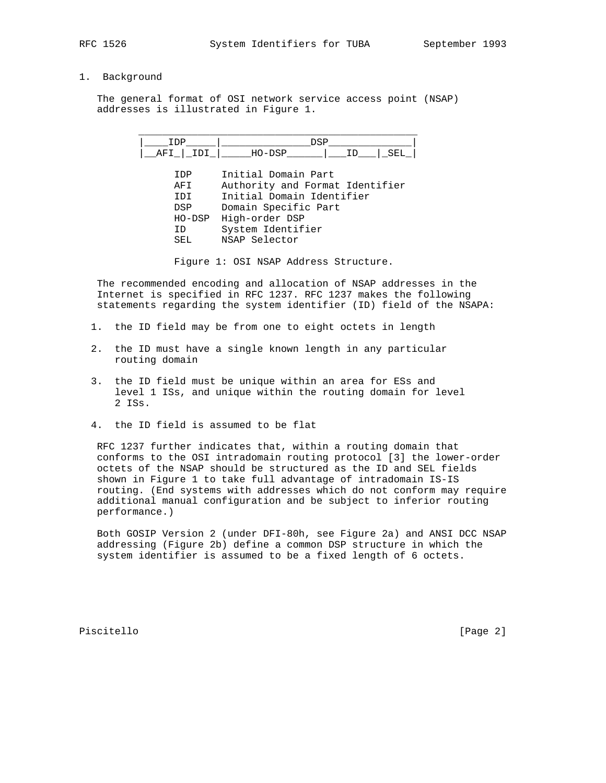## 1. Background

 The general format of OSI network service access point (NSAP) addresses is illustrated in Figure 1.



Figure 1: OSI NSAP Address Structure.

 The recommended encoding and allocation of NSAP addresses in the Internet is specified in RFC 1237. RFC 1237 makes the following statements regarding the system identifier (ID) field of the NSAPA:

- 1. the ID field may be from one to eight octets in length
- 2. the ID must have a single known length in any particular routing domain
- 3. the ID field must be unique within an area for ESs and level 1 ISs, and unique within the routing domain for level 2 ISs.
- 4. the ID field is assumed to be flat

 RFC 1237 further indicates that, within a routing domain that conforms to the OSI intradomain routing protocol [3] the lower-order octets of the NSAP should be structured as the ID and SEL fields shown in Figure 1 to take full advantage of intradomain IS-IS routing. (End systems with addresses which do not conform may require additional manual configuration and be subject to inferior routing performance.)

 Both GOSIP Version 2 (under DFI-80h, see Figure 2a) and ANSI DCC NSAP addressing (Figure 2b) define a common DSP structure in which the system identifier is assumed to be a fixed length of 6 octets.

Piscitello [Page 2]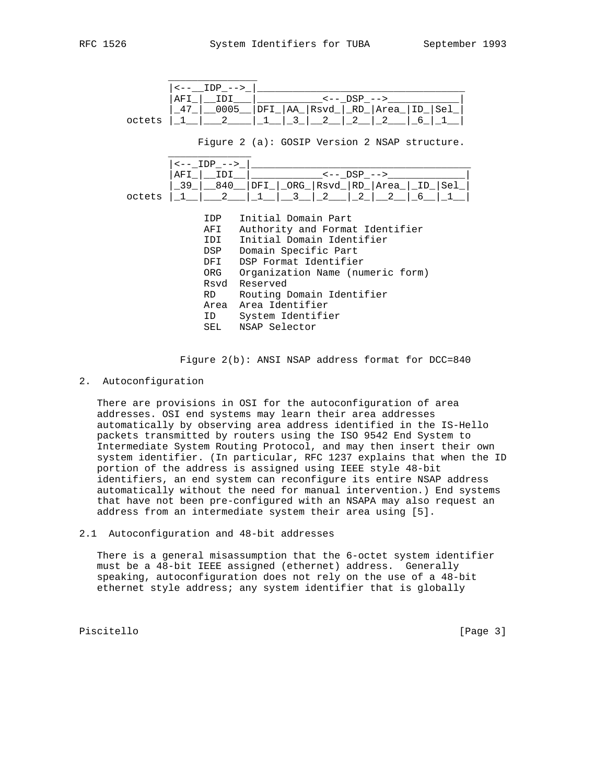| RFC | 1526 |
|-----|------|
|     |      |

 $\overline{\phantom{a}}$  ,  $\overline{\phantom{a}}$  ,  $\overline{\phantom{a}}$  ,  $\overline{\phantom{a}}$  ,  $\overline{\phantom{a}}$  ,  $\overline{\phantom{a}}$  ,  $\overline{\phantom{a}}$  ,  $\overline{\phantom{a}}$  ,  $\overline{\phantom{a}}$  ,  $\overline{\phantom{a}}$  ,  $\overline{\phantom{a}}$  ,  $\overline{\phantom{a}}$  ,  $\overline{\phantom{a}}$  ,  $\overline{\phantom{a}}$  ,  $\overline{\phantom{a}}$  ,  $\overline{\phantom{a}}$ 

|        | $IDP \leftarrow->$                                                                                                                                                                                                             |                                                                                         |
|--------|--------------------------------------------------------------------------------------------------------------------------------------------------------------------------------------------------------------------------------|-----------------------------------------------------------------------------------------|
|        | AFI<br>IDI<br>0005<br>47                                                                                                                                                                                                       | $\leftarrow -$ DSP $\leftarrow$ $\rightarrow$<br>DFI   AA   Rsvd   RD   Area   ID   Sel |
| octets | 2                                                                                                                                                                                                                              | 3<br>2<br>$\mathcal{L}$<br>2<br>6                                                       |
|        |                                                                                                                                                                                                                                | Figure 2 (a): GOSIP Version 2 NSAP structure.                                           |
|        | $\leftarrow -$ IDP $\leftarrow$ $>$                                                                                                                                                                                            |                                                                                         |
|        | IDI<br>AFI                                                                                                                                                                                                                     | <-- DSP -->                                                                             |
|        | 39                                                                                                                                                                                                                             | _840__ DFI_ _ORG_ Rsvd_ RD_ Area_ _ID_ Sel_                                             |
| octets | $\mathcal{L}$                                                                                                                                                                                                                  | $\overline{2}$<br>2<br>2<br>3<br>6                                                      |
|        | IDP                                                                                                                                                                                                                            | Initial Domain Part                                                                     |
|        | AFI                                                                                                                                                                                                                            | Authority and Format Identifier                                                         |
|        | IDI                                                                                                                                                                                                                            | Initial Domain Identifier                                                               |
|        | DSP                                                                                                                                                                                                                            | Domain Specific Part                                                                    |
|        | DFI                                                                                                                                                                                                                            | DSP Format Identifier                                                                   |
|        | ORG                                                                                                                                                                                                                            | Organization Name (numeric form)                                                        |
|        | Rsvd                                                                                                                                                                                                                           | Reserved                                                                                |
|        | RD and the set of the set of the set of the set of the set of the set of the set of the set of the set of the set of the set of the set of the set of the set of the set of the set of the set of the set of the set of the se | Routing Domain Identifier                                                               |
|        | Area                                                                                                                                                                                                                           | Area Identifier                                                                         |

 ID System Identifier SEL NSAP Selector

Figure 2(b): ANSI NSAP address format for DCC=840

2. Autoconfiguration

 There are provisions in OSI for the autoconfiguration of area addresses. OSI end systems may learn their area addresses automatically by observing area address identified in the IS-Hello packets transmitted by routers using the ISO 9542 End System to Intermediate System Routing Protocol, and may then insert their own system identifier. (In particular, RFC 1237 explains that when the ID portion of the address is assigned using IEEE style 48-bit identifiers, an end system can reconfigure its entire NSAP address automatically without the need for manual intervention.) End systems that have not been pre-configured with an NSAPA may also request an address from an intermediate system their area using [5].

2.1 Autoconfiguration and 48-bit addresses

 There is a general misassumption that the 6-octet system identifier must be a 48-bit IEEE assigned (ethernet) address. Generally speaking, autoconfiguration does not rely on the use of a 48-bit ethernet style address; any system identifier that is globally

Piscitello [Page 3]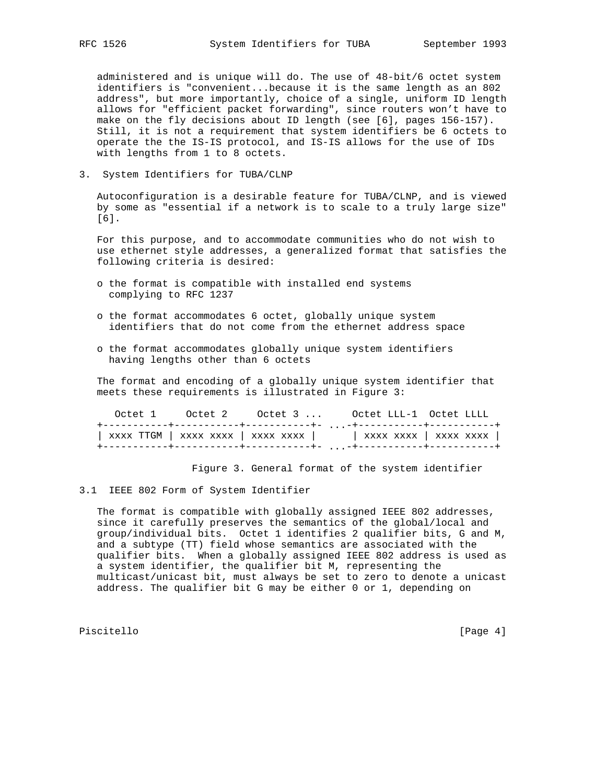administered and is unique will do. The use of 48-bit/6 octet system identifiers is "convenient...because it is the same length as an 802 address", but more importantly, choice of a single, uniform ID length allows for "efficient packet forwarding", since routers won't have to make on the fly decisions about ID length (see [6], pages 156-157). Still, it is not a requirement that system identifiers be 6 octets to operate the the IS-IS protocol, and IS-IS allows for the use of IDs with lengths from 1 to 8 octets.

3. System Identifiers for TUBA/CLNP

 Autoconfiguration is a desirable feature for TUBA/CLNP, and is viewed by some as "essential if a network is to scale to a truly large size" [6].

 For this purpose, and to accommodate communities who do not wish to use ethernet style addresses, a generalized format that satisfies the following criteria is desired:

- o the format is compatible with installed end systems complying to RFC 1237
- o the format accommodates 6 octet, globally unique system identifiers that do not come from the ethernet address space
- o the format accommodates globally unique system identifiers having lengths other than 6 octets

 The format and encoding of a globally unique system identifier that meets these requirements is illustrated in Figure 3:

|  | Octet 1 Octet 2 Octet 3  Octet LLL-1 Octet LLLL           |  |
|--|-----------------------------------------------------------|--|
|  |                                                           |  |
|  | xxxx TTGM   xxxx xxxx   xxxx xxxx   xxxx xxxx   xxxx xxxx |  |
|  |                                                           |  |

Figure 3. General format of the system identifier

3.1 IEEE 802 Form of System Identifier

 The format is compatible with globally assigned IEEE 802 addresses, since it carefully preserves the semantics of the global/local and group/individual bits. Octet 1 identifies 2 qualifier bits, G and M, and a subtype (TT) field whose semantics are associated with the qualifier bits. When a globally assigned IEEE 802 address is used as a system identifier, the qualifier bit M, representing the multicast/unicast bit, must always be set to zero to denote a unicast address. The qualifier bit G may be either 0 or 1, depending on

Piscitello [Page 4]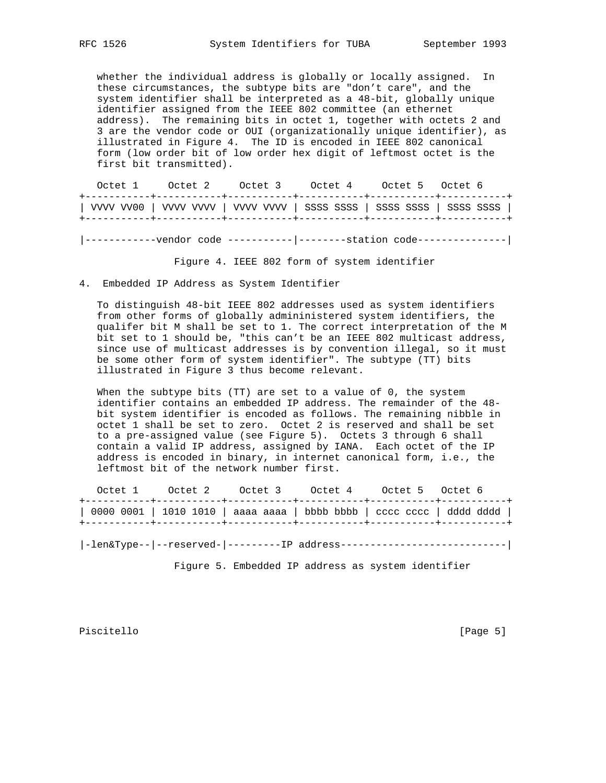whether the individual address is globally or locally assigned. In these circumstances, the subtype bits are "don't care", and the system identifier shall be interpreted as a 48-bit, globally unique identifier assigned from the IEEE 802 committee (an ethernet address). The remaining bits in octet 1, together with octets 2 and 3 are the vendor code or OUI (organizationally unique identifier), as illustrated in Figure 4. The ID is encoded in IEEE 802 canonical form (low order bit of low order hex digit of leftmost octet is the first bit transmitted).

 Octet 1 Octet 2 Octet 3 Octet 4 Octet 5 Octet 6 +-----------+-----------+-----------+-----------+-----------+-----------+ | VVVV VV00 | VVVV VVVV | VVVV VVVV | SSSS SSSS | SSSS SSSS | SSSS SSSS | +-----------+-----------+-----------+-----------+-----------+-----------+ |------------vendor code -----------|--------station code---------------|

Figure 4. IEEE 802 form of system identifier

4. Embedded IP Address as System Identifier

 To distinguish 48-bit IEEE 802 addresses used as system identifiers from other forms of globally admininistered system identifiers, the qualifer bit M shall be set to 1. The correct interpretation of the M bit set to 1 should be, "this can't be an IEEE 802 multicast address, since use of multicast addresses is by convention illegal, so it must be some other form of system identifier". The subtype (TT) bits illustrated in Figure 3 thus become relevant.

When the subtype bits (TT) are set to a value of 0, the system identifier contains an embedded IP address. The remainder of the 48 bit system identifier is encoded as follows. The remaining nibble in octet 1 shall be set to zero. Octet 2 is reserved and shall be set to a pre-assigned value (see Figure 5). Octets 3 through 6 shall contain a valid IP address, assigned by IANA. Each octet of the IP address is encoded in binary, in internet canonical form, i.e., the leftmost bit of the network number first.

| Octet 1 0ctet 2 0ctet 3 0ctet 4 0ctet 5 0ctet 6 |  |                                                                       |
|-------------------------------------------------|--|-----------------------------------------------------------------------|
|                                                 |  | 0000 0001   1010 1010   aaaa aaaa   bbbb bbbb   cccc cccc   dddd dddd |

|-len&Type--|--reserved-|---------IP address----------------------------|

Figure 5. Embedded IP address as system identifier

Piscitello [Page 5]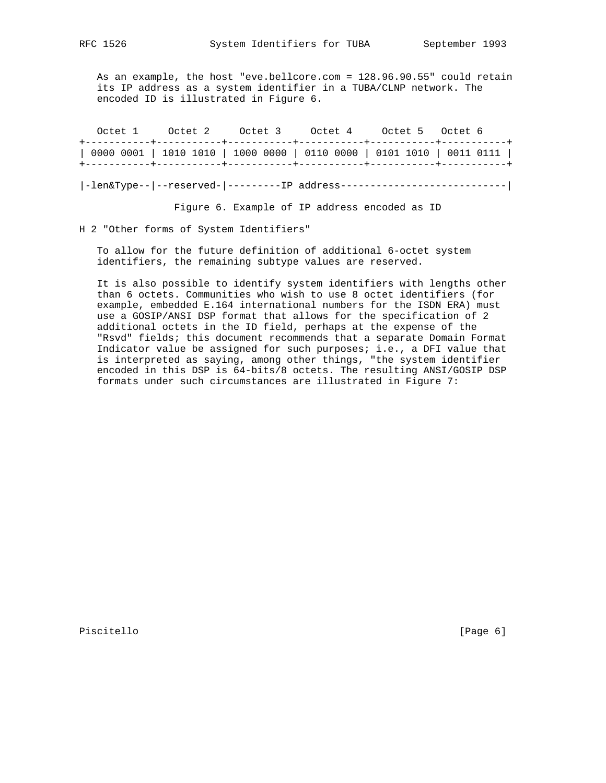As an example, the host "eve.bellcore.com = 128.96.90.55" could retain its IP address as a system identifier in a TUBA/CLNP network. The encoded ID is illustrated in Figure 6.

|  | Octet 1 Octet 2 Octet 3 Octet 4 Octet 5 Octet 6 |  |  |
|--|-------------------------------------------------|--|--|
|  |                                                 |  |  |
|  |                                                 |  |  |

|-len&Type--|--reserved-|---------IP address----------------------------|

Figure 6. Example of IP address encoded as ID

H 2 "Other forms of System Identifiers"

 To allow for the future definition of additional 6-octet system identifiers, the remaining subtype values are reserved.

 It is also possible to identify system identifiers with lengths other than 6 octets. Communities who wish to use 8 octet identifiers (for example, embedded E.164 international numbers for the ISDN ERA) must use a GOSIP/ANSI DSP format that allows for the specification of 2 additional octets in the ID field, perhaps at the expense of the "Rsvd" fields; this document recommends that a separate Domain Format Indicator value be assigned for such purposes; i.e., a DFI value that is interpreted as saying, among other things, "the system identifier encoded in this DSP is 64-bits/8 octets. The resulting ANSI/GOSIP DSP formats under such circumstances are illustrated in Figure 7:

Piscitello [Page 6]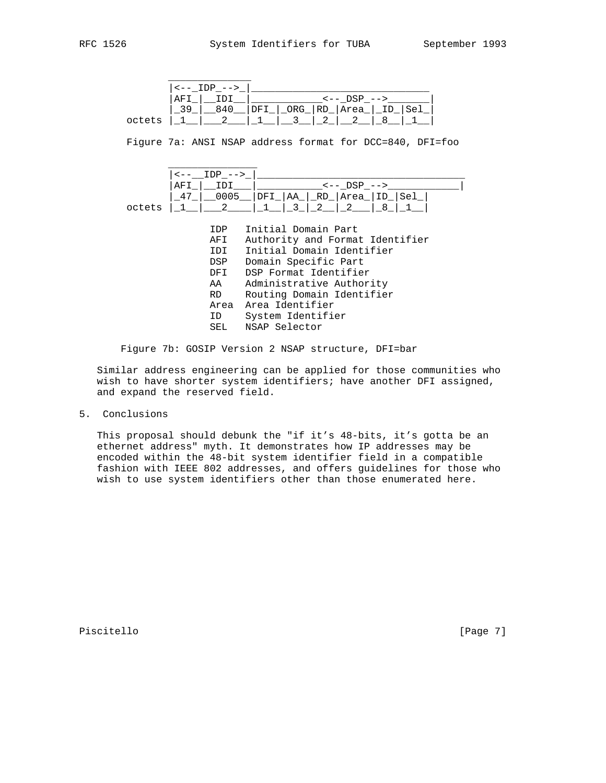|        |     | $--$ |  |                 |     |     |
|--------|-----|------|--|-----------------|-----|-----|
|        | AF. |      |  | $<--$ DSP $-->$ |     |     |
|        |     | 84 N |  | ORG_ RD_ Area_  | TD. | Se] |
| octets |     |      |  |                 |     |     |

Figure 7a: ANSI NSAP address format for DCC=840, DFI=foo



| <b>IDP</b> | Initial Domain Part             |
|------------|---------------------------------|
| AFI        | Authority and Format Identifier |
| IDI        | Initial Domain Identifier       |
| DSP        | Domain Specific Part            |
| DFI        | DSP Format Identifier           |
| AA         | Administrative Authority        |
| RD –       | Routing Domain Identifier       |
|            | Area Area Identifier            |
| ID         | System Identifier               |
| SEL        | NSAP Selector                   |
|            |                                 |

Figure 7b: GOSIP Version 2 NSAP structure, DFI=bar

 Similar address engineering can be applied for those communities who wish to have shorter system identifiers; have another DFI assigned, and expand the reserved field.

5. Conclusions

 This proposal should debunk the "if it's 48-bits, it's gotta be an ethernet address" myth. It demonstrates how IP addresses may be encoded within the 48-bit system identifier field in a compatible fashion with IEEE 802 addresses, and offers guidelines for those who wish to use system identifiers other than those enumerated here.

Piscitello [Page 7]